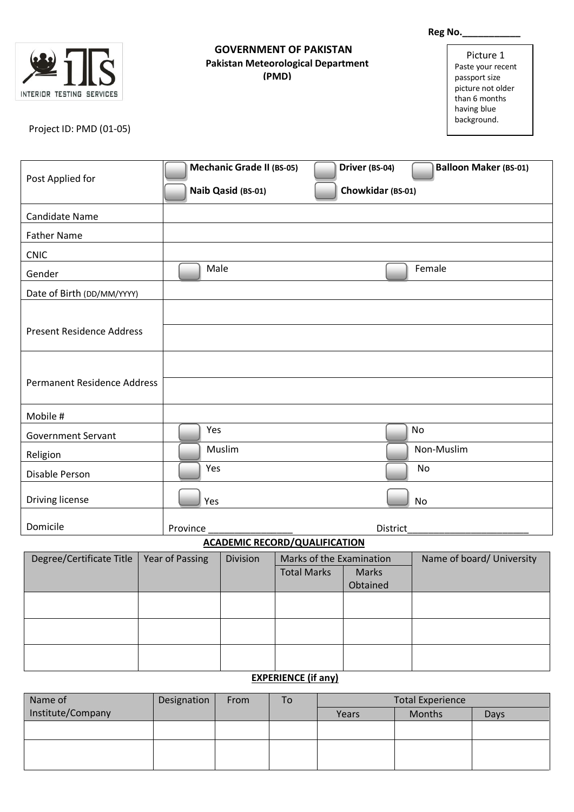|                                                                                 |                 | Reg No._____________                                   |                                                                                     |                                     |                                                                                                                     |  |
|---------------------------------------------------------------------------------|-----------------|--------------------------------------------------------|-------------------------------------------------------------------------------------|-------------------------------------|---------------------------------------------------------------------------------------------------------------------|--|
| $ \hat{\bm{\varsigma}}$<br>INTERIOR TESTING SERVICES<br>Project ID: PMD (01-05) |                 |                                                        | <b>GOVERNMENT OF PAKISTAN</b><br><b>Pakistan Meteorological Department</b><br>(PMD) |                                     | Picture 1<br>Paste your recent<br>passport size<br>picture not older<br>than 6 months<br>having blue<br>background. |  |
| Post Applied for                                                                |                 | <b>Mechanic Grade II (BS-05)</b><br>Naib Qasid (BS-01) |                                                                                     | Driver (BS-04)<br>Chowkidar (BS-01) | <b>Balloon Maker (BS-01)</b>                                                                                        |  |
| <b>Candidate Name</b>                                                           |                 |                                                        |                                                                                     |                                     |                                                                                                                     |  |
| <b>Father Name</b>                                                              |                 |                                                        |                                                                                     |                                     |                                                                                                                     |  |
| <b>CNIC</b>                                                                     |                 |                                                        |                                                                                     |                                     |                                                                                                                     |  |
| Gender                                                                          | Male            |                                                        |                                                                                     |                                     | Female                                                                                                              |  |
| Date of Birth (DD/MM/YYYY)                                                      |                 |                                                        |                                                                                     |                                     |                                                                                                                     |  |
| <b>Present Residence Address</b><br><b>Permanent Residence Address</b>          |                 |                                                        |                                                                                     |                                     |                                                                                                                     |  |
| Mobile #                                                                        |                 |                                                        |                                                                                     |                                     |                                                                                                                     |  |
| <b>Government Servant</b>                                                       | Yes             |                                                        |                                                                                     |                                     | No                                                                                                                  |  |
| Religion                                                                        |                 | Muslim                                                 |                                                                                     |                                     | Non-Muslim                                                                                                          |  |
| Disable Person                                                                  | Yes             |                                                        |                                                                                     |                                     | No                                                                                                                  |  |
| Driving license                                                                 | Yes             |                                                        |                                                                                     |                                     | No                                                                                                                  |  |
| Domicile                                                                        | Province        |                                                        |                                                                                     | District                            |                                                                                                                     |  |
|                                                                                 |                 |                                                        | <b>ACADEMIC RECORD/QUALIFICATION</b>                                                |                                     |                                                                                                                     |  |
| Degree/Certificate Title                                                        | Year of Passing | Division                                               | Marks of the Examination<br><b>Total Marks</b>                                      | Marks<br>Obtained                   | Name of board/ University                                                                                           |  |
|                                                                                 |                 |                                                        |                                                                                     |                                     |                                                                                                                     |  |
|                                                                                 |                 |                                                        |                                                                                     |                                     |                                                                                                                     |  |
|                                                                                 |                 |                                                        |                                                                                     |                                     |                                                                                                                     |  |
|                                                                                 |                 |                                                        |                                                                                     |                                     |                                                                                                                     |  |
| <b>EXPERIENCE (if any)</b>                                                      |                 |                                                        |                                                                                     |                                     |                                                                                                                     |  |

## Name of Institute/Company Designation From To Total Experience Months Days